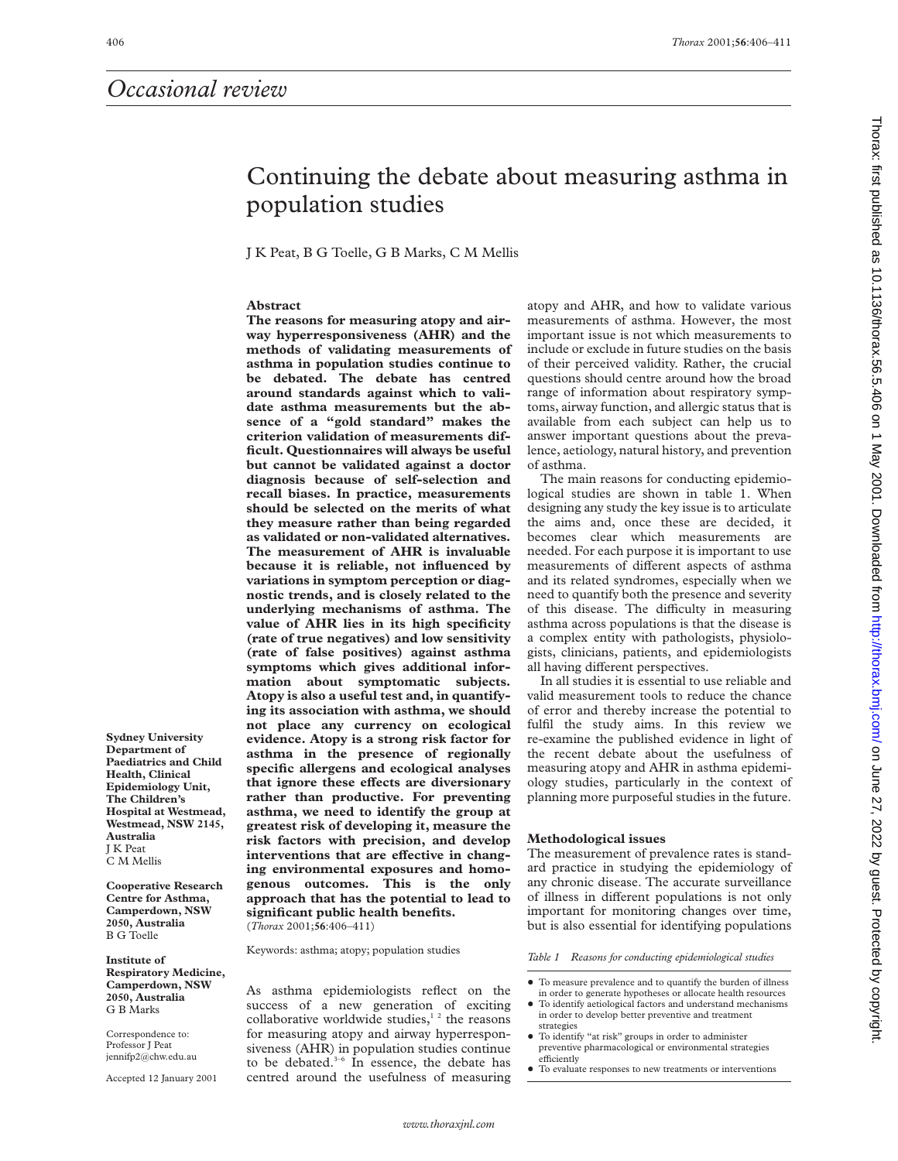# Continuing the debate about measuring asthma in population studies

J K Peat, B G Toelle, G B Marks, C M Mellis

## **Abstract**

**The reasons for measuring atopy and airway hyperresponsiveness (AHR) and the methods of validating measurements of asthma in population studies continue to be debated. The debate has centred around standards against which to validate asthma measurements but the absence of a "gold standard" makes the criterion validation of measurements difficult. Questionnaires will always be useful but cannot be validated against a doctor diagnosis because of self-selection and recall biases. In practice, measurements should be selected on the merits of what they measure rather than being regarded as validated or non-validated alternatives. The measurement of AHR is invaluable because it is reliable, not influenced by variations in symptom perception or diagnostic trends, and is closely related to the underlying mechanisms of asthma. The value of AHR lies in its high specificity (rate of true negatives) and low sensitivity (rate of false positives) against asthma symptoms which gives additional information about symptomatic subjects. Atopy is also a useful test and, in quantifying its association with asthma, we should not place any currency on ecological evidence. Atopy is a strong risk factor for asthma in the presence of regionally specific allergens and ecological analyses** that ignore these effects are diversionary **rather than productive. For preventing asthma, we need to identify the group at greatest risk of developing it, measure the risk factors with precision, and develop** interventions that are effective in chang**ing environmental exposures and homogenous outcomes. This is the only approach that has the potential to lead to significant public health benefits.** (*Thorax* 2001;**56**:406–411)

Keywords: asthma; atopy; population studies

As asthma epidemiologists reflect on the success of a new generation of exciting collaborative worldwide studies, $12$  the reasons for measuring atopy and airway hyperresponsiveness (AHR) in population studies continue to be debated. $3-6$  In essence, the debate has centred around the usefulness of measuring

atopy and AHR, and how to validate various measurements of asthma. However, the most important issue is not which measurements to include or exclude in future studies on the basis of their perceived validity. Rather, the crucial questions should centre around how the broad range of information about respiratory symptoms, airway function, and allergic status that is available from each subject can help us to answer important questions about the prevalence, aetiology, natural history, and prevention of asthma.

The main reasons for conducting epidemiological studies are shown in table 1. When designing any study the key issue is to articulate the aims and, once these are decided, it becomes clear which measurements are needed. For each purpose it is important to use measurements of different aspects of asthma and its related syndromes, especially when we need to quantify both the presence and severity of this disease. The difficulty in measuring asthma across populations is that the disease is a complex entity with pathologists, physiologists, clinicians, patients, and epidemiologists all having different perspectives.

In all studies it is essential to use reliable and valid measurement tools to reduce the chance of error and thereby increase the potential to fulfil the study aims. In this review we re-examine the published evidence in light of the recent debate about the usefulness of measuring atopy and AHR in asthma epidemiology studies, particularly in the context of planning more purposeful studies in the future.

## **Methodological issues**

The measurement of prevalence rates is standard practice in studying the epidemiology of any chronic disease. The accurate surveillance of illness in different populations is not only important for monitoring changes over time, but is also essential for identifying populations

*Table 1 Reasons for conducting epidemiological studies*

- + To measure prevalence and to quantify the burden of illness
- in order to generate hypotheses or allocate health resources To identify aetiological factors and understand mechanisms
- in order to develop better preventive and treatment strategies
- $\bullet$  To identify "at risk" groups in order to administer preventive pharmacological or environmental strategies efficiently
- $\bullet$  To evaluate responses to new treatments or interventions

**Sydney University Department of Paediatrics and Child Health, Clinical Epidemiology Unit, The Children's Hospital at Westmead, Westmead, NSW 2145, Australia** J K Peat C M Mellis

**Cooperative Research Centre for Asthma, Camperdown, NSW 2050, Australia** B G Toelle

**Institute of Respiratory Medicine, Camperdown, NSW 2050, Australia** G B Marks

Correspondence to: Professor I Peat jennifp2@chw.edu.au

Accepted 12 January 2001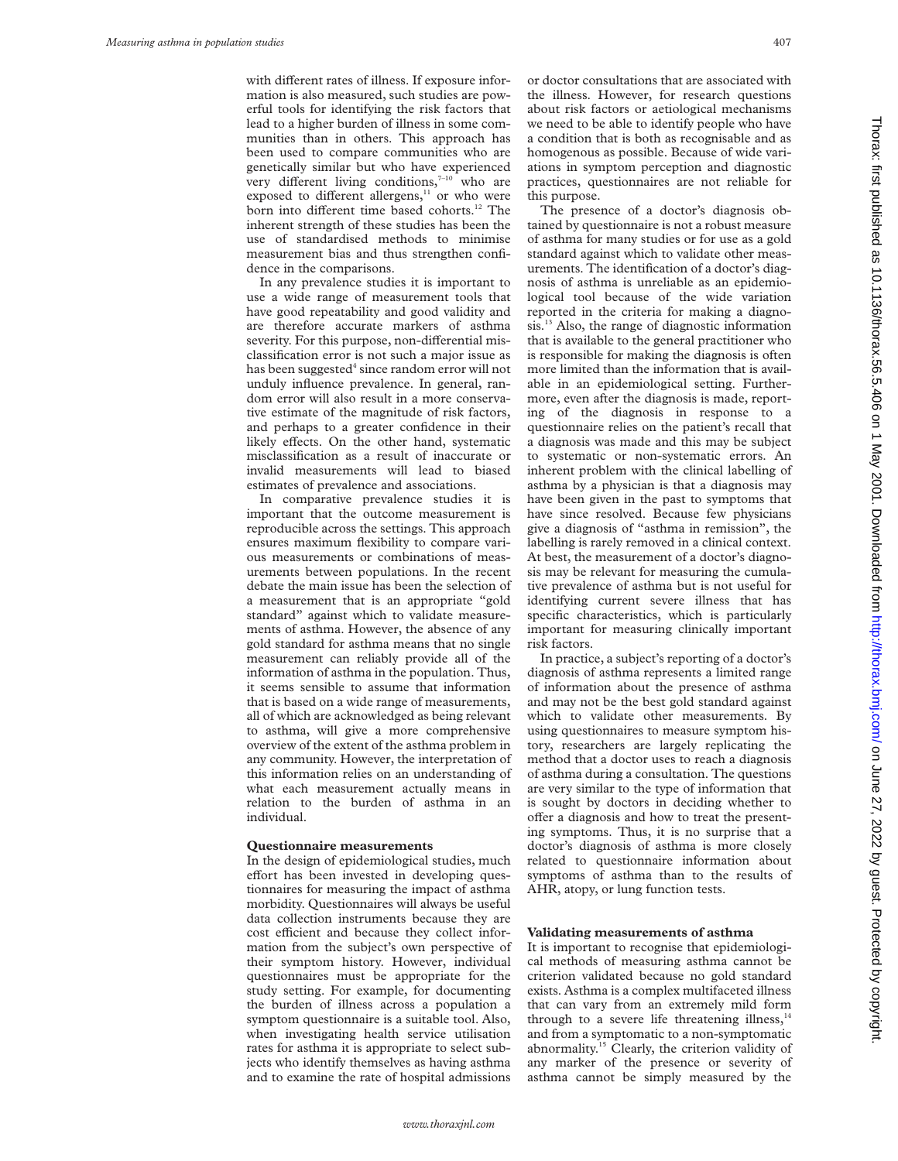with different rates of illness. If exposure information is also measured, such studies are powerful tools for identifying the risk factors that lead to a higher burden of illness in some communities than in others. This approach has been used to compare communities who are genetically similar but who have experienced very different living conditions, $7-10$  who are exposed to different allergens, $11$  or who were born into different time based cohorts.<sup>12</sup> The inherent strength of these studies has been the use of standardised methods to minimise measurement bias and thus strengthen confidence in the comparisons.

In any prevalence studies it is important to use a wide range of measurement tools that have good repeatability and good validity and are therefore accurate markers of asthma severity. For this purpose, non-differential misclassification error is not such a major issue as has been suggested<sup>4</sup> since random error will not unduly influence prevalence. In general, random error will also result in a more conservative estimate of the magnitude of risk factors, and perhaps to a greater confidence in their likely effects. On the other hand, systematic misclassification as a result of inaccurate or invalid measurements will lead to biased estimates of prevalence and associations.

In comparative prevalence studies it is important that the outcome measurement is reproducible across the settings. This approach ensures maximum flexibility to compare various measurements or combinations of measurements between populations. In the recent debate the main issue has been the selection of a measurement that is an appropriate "gold standard" against which to validate measurements of asthma. However, the absence of any gold standard for asthma means that no single measurement can reliably provide all of the information of asthma in the population. Thus, it seems sensible to assume that information that is based on a wide range of measurements, all of which are acknowledged as being relevant to asthma, will give a more comprehensive overview of the extent of the asthma problem in any community. However, the interpretation of this information relies on an understanding of what each measurement actually means in relation to the burden of asthma in an individual.

# **Questionnaire measurements**

In the design of epidemiological studies, much effort has been invested in developing questionnaires for measuring the impact of asthma morbidity. Questionnaires will always be useful data collection instruments because they are cost efficient and because they collect information from the subject's own perspective of their symptom history. However, individual questionnaires must be appropriate for the study setting. For example, for documenting the burden of illness across a population a symptom questionnaire is a suitable tool. Also, when investigating health service utilisation rates for asthma it is appropriate to select subjects who identify themselves as having asthma and to examine the rate of hospital admissions

or doctor consultations that are associated with the illness. However, for research questions about risk factors or aetiological mechanisms we need to be able to identify people who have a condition that is both as recognisable and as homogenous as possible. Because of wide variations in symptom perception and diagnostic practices, questionnaires are not reliable for this purpose.

The presence of a doctor's diagnosis obtained by questionnaire is not a robust measure of asthma for many studies or for use as a gold standard against which to validate other measurements. The identification of a doctor's diagnosis of asthma is unreliable as an epidemiological tool because of the wide variation reported in the criteria for making a diagnosis.<sup>13</sup> Also, the range of diagnostic information that is available to the general practitioner who is responsible for making the diagnosis is often more limited than the information that is available in an epidemiological setting. Furthermore, even after the diagnosis is made, reporting of the diagnosis in response to a questionnaire relies on the patient's recall that a diagnosis was made and this may be subject to systematic or non-systematic errors. An inherent problem with the clinical labelling of asthma by a physician is that a diagnosis may have been given in the past to symptoms that have since resolved. Because few physicians give a diagnosis of "asthma in remission", the labelling is rarely removed in a clinical context. At best, the measurement of a doctor's diagnosis may be relevant for measuring the cumulative prevalence of asthma but is not useful for identifying current severe illness that has specific characteristics, which is particularly important for measuring clinically important risk factors.

In practice, a subject's reporting of a doctor's diagnosis of asthma represents a limited range of information about the presence of asthma and may not be the best gold standard against which to validate other measurements. By using questionnaires to measure symptom history, researchers are largely replicating the method that a doctor uses to reach a diagnosis of asthma during a consultation. The questions are very similar to the type of information that is sought by doctors in deciding whether to offer a diagnosis and how to treat the presenting symptoms. Thus, it is no surprise that a doctor's diagnosis of asthma is more closely related to questionnaire information about symptoms of asthma than to the results of AHR, atopy, or lung function tests.

## **Validating measurements of asthma**

It is important to recognise that epidemiological methods of measuring asthma cannot be criterion validated because no gold standard exists. Asthma is a complex multifaceted illness that can vary from an extremely mild form through to a severe life threatening illness, $14$ and from a symptomatic to a non-symptomatic abnormality.15 Clearly, the criterion validity of any marker of the presence or severity of asthma cannot be simply measured by the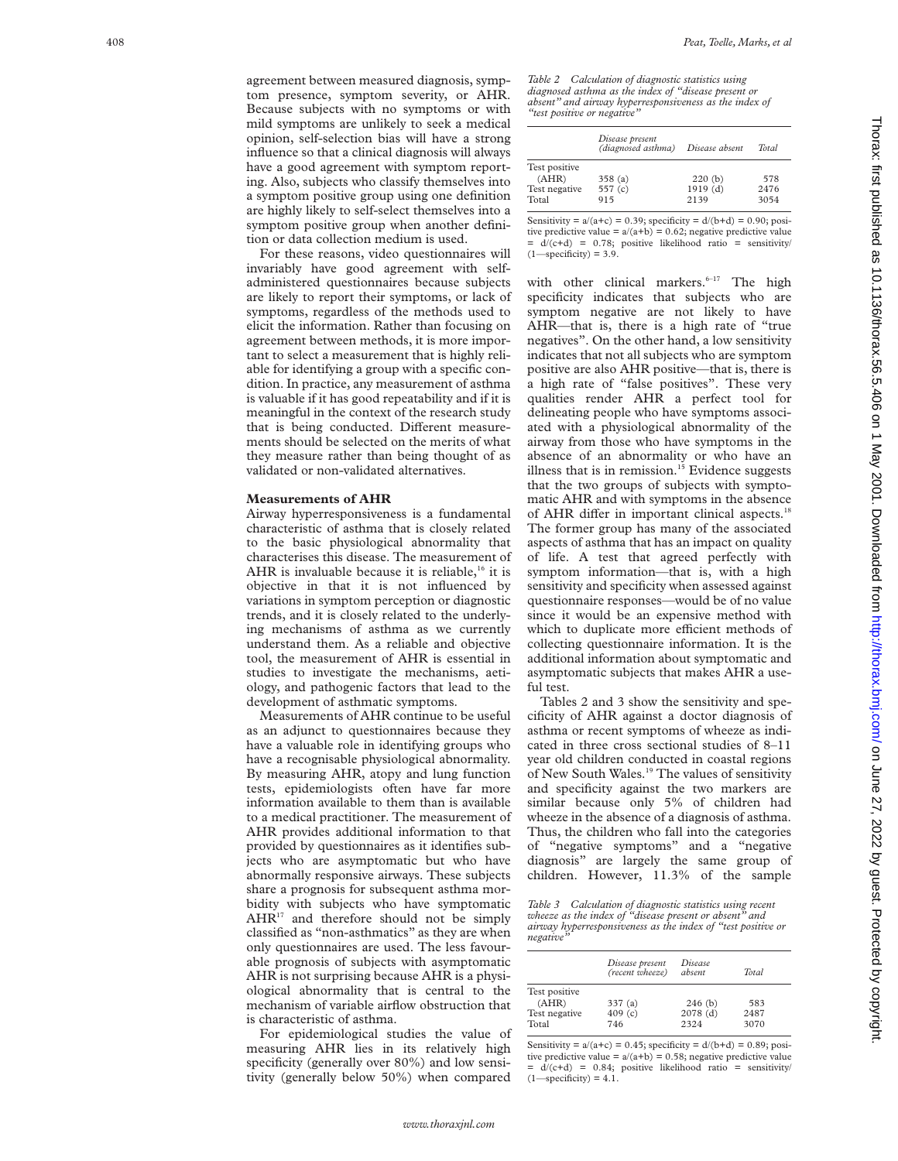agreement between measured diagnosis, symptom presence, symptom severity, or AHR. Because subjects with no symptoms or with mild symptoms are unlikely to seek a medical opinion, self-selection bias will have a strong influence so that a clinical diagnosis will always have a good agreement with symptom reporting. Also, subjects who classify themselves into a symptom positive group using one definition are highly likely to self-select themselves into a symptom positive group when another definition or data collection medium is used.

For these reasons, video questionnaires will invariably have good agreement with selfadministered questionnaires because subjects are likely to report their symptoms, or lack of symptoms, regardless of the methods used to elicit the information. Rather than focusing on agreement between methods, it is more important to select a measurement that is highly reliable for identifying a group with a specific condition. In practice, any measurement of asthma is valuable if it has good repeatability and if it is meaningful in the context of the research study that is being conducted. Different measurements should be selected on the merits of what they measure rather than being thought of as validated or non-validated alternatives.

#### **Measurements of AHR**

Airway hyperresponsiveness is a fundamental characteristic of asthma that is closely related to the basic physiological abnormality that characterises this disease. The measurement of AHR is invaluable because it is reliable,<sup>16</sup> it is objective in that it is not influenced by variations in symptom perception or diagnostic trends, and it is closely related to the underlying mechanisms of asthma as we currently understand them. As a reliable and objective tool, the measurement of AHR is essential in studies to investigate the mechanisms, aetiology, and pathogenic factors that lead to the development of asthmatic symptoms.

Measurements of AHR continue to be useful as an adjunct to questionnaires because they have a valuable role in identifying groups who have a recognisable physiological abnormality. By measuring AHR, atopy and lung function tests, epidemiologists often have far more information available to them than is available to a medical practitioner. The measurement of AHR provides additional information to that provided by questionnaires as it identifies subjects who are asymptomatic but who have abnormally responsive airways. These subjects share a prognosis for subsequent asthma morbidity with subjects who have symptomatic  $AHR<sup>17</sup>$  and therefore should not be simply classified as "non-asthmatics" as they are when only questionnaires are used. The less favourable prognosis of subjects with asymptomatic AHR is not surprising because AHR is a physiological abnormality that is central to the mechanism of variable airflow obstruction that is characteristic of asthma.

For epidemiological studies the value of measuring AHR lies in its relatively high specificity (generally over 80%) and low sensitivity (generally below 50%) when compared *Table 2 Calculation of diagnostic statistics using diagnosed asthma as the index of "disease present or absent" and airway hyperresponsiveness as the index of "test positive or negative"*

|               | Disease present<br>(diagnosed asthma) | Disease absent | <i>Total</i> |
|---------------|---------------------------------------|----------------|--------------|
| Test positive |                                       |                |              |
| (AHR)         | 358(a)                                | 220(b)         | 578          |
| Test negative | 557 (c)                               | 1919(d)        | 2476         |
| Total         | 915                                   | 2139           | 3054         |

Sensitivity =  $a/(a+c)$  = 0.39; specificity =  $d/(b+d)$  = 0.90; positive predictive value =  $a/(a+b) = 0.62$ ; negative predictive value  $= d/(c+d) = 0.78$ ; positive likelihood ratio = sensitivity/  $(1$ —specificity) = 3.9.

with other clinical markers. $6-17$  The high specificity indicates that subjects who are symptom negative are not likely to have AHR—that is, there is a high rate of "true negatives". On the other hand, a low sensitivity indicates that not all subjects who are symptom positive are also AHR positive—that is, there is a high rate of "false positives". These very qualities render AHR a perfect tool for delineating people who have symptoms associated with a physiological abnormality of the airway from those who have symptoms in the absence of an abnormality or who have an illness that is in remission.<sup>15</sup> Evidence suggests that the two groups of subjects with symptomatic AHR and with symptoms in the absence of AHR differ in important clinical aspects.<sup>18</sup> The former group has many of the associated aspects of asthma that has an impact on quality of life. A test that agreed perfectly with symptom information—that is, with a high sensitivity and specificity when assessed against questionnaire responses—would be of no value since it would be an expensive method with which to duplicate more efficient methods of collecting questionnaire information. It is the additional information about symptomatic and asymptomatic subjects that makes AHR a useful test.

Tables 2 and 3 show the sensitivity and specificity of AHR against a doctor diagnosis of asthma or recent symptoms of wheeze as indicated in three cross sectional studies of 8–11 year old children conducted in coastal regions of New South Wales.<sup>19</sup> The values of sensitivity and specificity against the two markers are similar because only 5% of children had wheeze in the absence of a diagnosis of asthma. Thus, the children who fall into the categories of "negative symptoms" and a "negative diagnosis" are largely the same group of children. However, 11.3% of the sample

*Table 3 Calculation of diagnostic statistics using recent wheeze as the index of "disease present or absent" and airway hyperresponsiveness as the index of "test positive or negative"*

|               | Disease present<br>(recent wheeze) | Disease<br>absent | <b>Total</b> |
|---------------|------------------------------------|-------------------|--------------|
| Test positive |                                    |                   |              |
| (AHR)         | 337(a)                             | 246(b)            | 583          |
| Test negative | 409(c)                             | $2078$ (d)        | 2487         |
| Total         | 746                                | 2324              | 3070         |

Sensitivity =  $a/(a+c)$  = 0.45; specificity =  $d/(b+d)$  = 0.89; positive predictive value =  $a/(a+b) = 0.58$ ; negative predictive value  $d/(c+d) = 0.84$ ; positive likelihood ratio = sensitivity.  $(1$ —specificity) =  $4.1$ .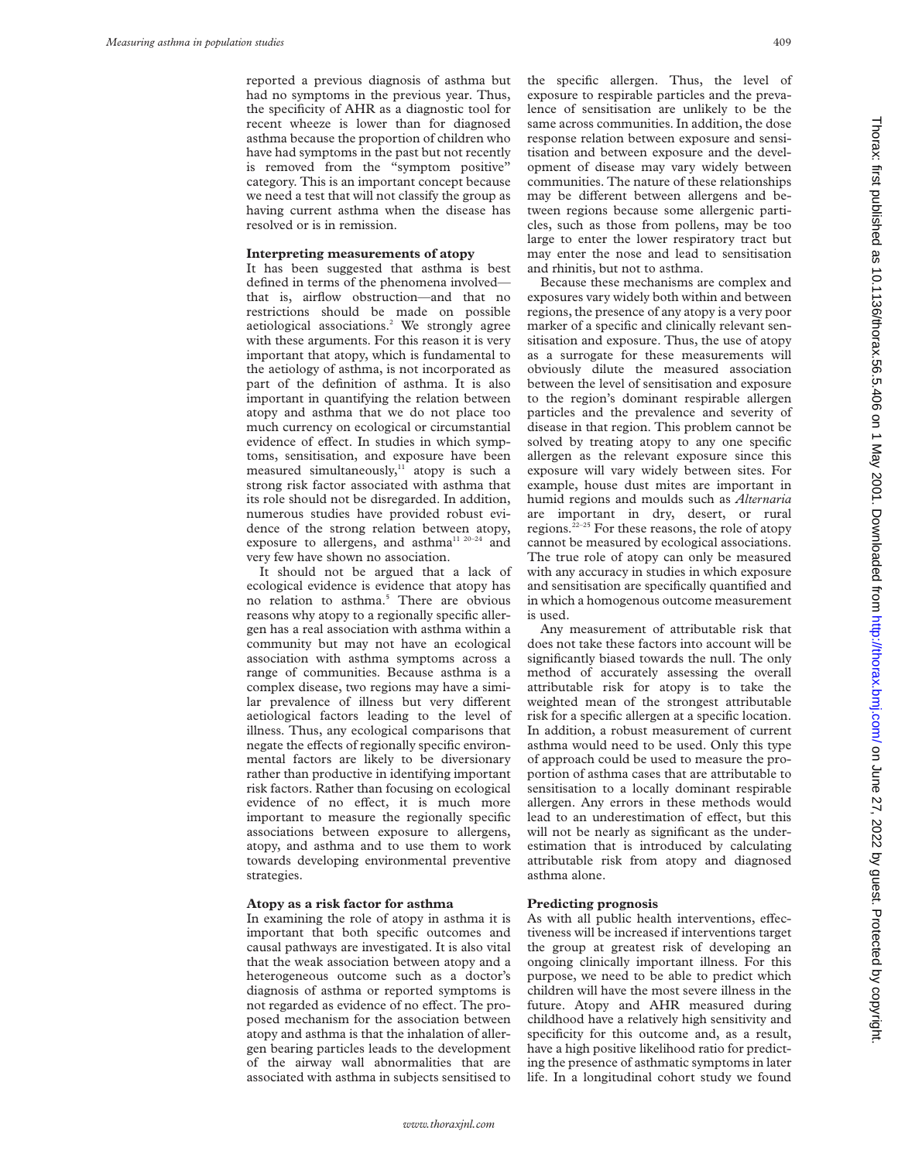reported a previous diagnosis of asthma but had no symptoms in the previous year. Thus, the specificity of AHR as a diagnostic tool for recent wheeze is lower than for diagnosed asthma because the proportion of children who have had symptoms in the past but not recently is removed from the "symptom positive" category. This is an important concept because we need a test that will not classify the group as having current asthma when the disease has resolved or is in remission.

#### **Interpreting measurements of atopy**

It has been suggested that asthma is best defined in terms of the phenomena involved that is, airflow obstruction—and that no restrictions should be made on possible aetiological associations.<sup>2</sup> We strongly agree with these arguments. For this reason it is very important that atopy, which is fundamental to the aetiology of asthma, is not incorporated as part of the definition of asthma. It is also important in quantifying the relation between atopy and asthma that we do not place too much currency on ecological or circumstantial evidence of effect. In studies in which symptoms, sensitisation, and exposure have been measured simultaneously, $11$  atopy is such a strong risk factor associated with asthma that its role should not be disregarded. In addition, numerous studies have provided robust evidence of the strong relation between atopy, exposure to allergens, and asthma $11 20-24$  and very few have shown no association.

It should not be argued that a lack of ecological evidence is evidence that atopy has no relation to asthma.<sup>5</sup> There are obvious reasons why atopy to a regionally specific allergen has a real association with asthma within a community but may not have an ecological association with asthma symptoms across a range of communities. Because asthma is a complex disease, two regions may have a similar prevalence of illness but very different aetiological factors leading to the level of illness. Thus, any ecological comparisons that negate the effects of regionally specific environmental factors are likely to be diversionary rather than productive in identifying important risk factors. Rather than focusing on ecological evidence of no effect, it is much more important to measure the regionally specific associations between exposure to allergens, atopy, and asthma and to use them to work towards developing environmental preventive strategies.

## **Atopy as a risk factor for asthma**

In examining the role of atopy in asthma it is important that both specific outcomes and causal pathways are investigated. It is also vital that the weak association between atopy and a heterogeneous outcome such as a doctor's diagnosis of asthma or reported symptoms is not regarded as evidence of no effect. The proposed mechanism for the association between atopy and asthma is that the inhalation of allergen bearing particles leads to the development of the airway wall abnormalities that are associated with asthma in subjects sensitised to

the specific allergen. Thus, the level of exposure to respirable particles and the prevalence of sensitisation are unlikely to be the same across communities. In addition, the dose response relation between exposure and sensitisation and between exposure and the development of disease may vary widely between communities. The nature of these relationships may be different between allergens and between regions because some allergenic particles, such as those from pollens, may be too large to enter the lower respiratory tract but may enter the nose and lead to sensitisation and rhinitis, but not to asthma.

Because these mechanisms are complex and exposures vary widely both within and between regions, the presence of any atopy is a very poor marker of a specific and clinically relevant sensitisation and exposure. Thus, the use of atopy as a surrogate for these measurements will obviously dilute the measured association between the level of sensitisation and exposure to the region's dominant respirable allergen particles and the prevalence and severity of disease in that region. This problem cannot be solved by treating atopy to any one specific allergen as the relevant exposure since this exposure will vary widely between sites. For example, house dust mites are important in humid regions and moulds such as *Alternaria* are important in dry, desert, or rural regions. $22-25$  For these reasons, the role of atopy cannot be measured by ecological associations. The true role of atopy can only be measured with any accuracy in studies in which exposure and sensitisation are specifically quantified and in which a homogenous outcome measurement is used.

Any measurement of attributable risk that does not take these factors into account will be significantly biased towards the null. The only method of accurately assessing the overall attributable risk for atopy is to take the weighted mean of the strongest attributable risk for a specific allergen at a specific location. In addition, a robust measurement of current asthma would need to be used. Only this type of approach could be used to measure the proportion of asthma cases that are attributable to sensitisation to a locally dominant respirable allergen. Any errors in these methods would lead to an underestimation of effect, but this will not be nearly as significant as the underestimation that is introduced by calculating attributable risk from atopy and diagnosed asthma alone.

# **Predicting prognosis**

As with all public health interventions, effectiveness will be increased if interventions target the group at greatest risk of developing an ongoing clinically important illness. For this purpose, we need to be able to predict which children will have the most severe illness in the future. Atopy and AHR measured during childhood have a relatively high sensitivity and specificity for this outcome and, as a result, have a high positive likelihood ratio for predicting the presence of asthmatic symptoms in later life. In a longitudinal cohort study we found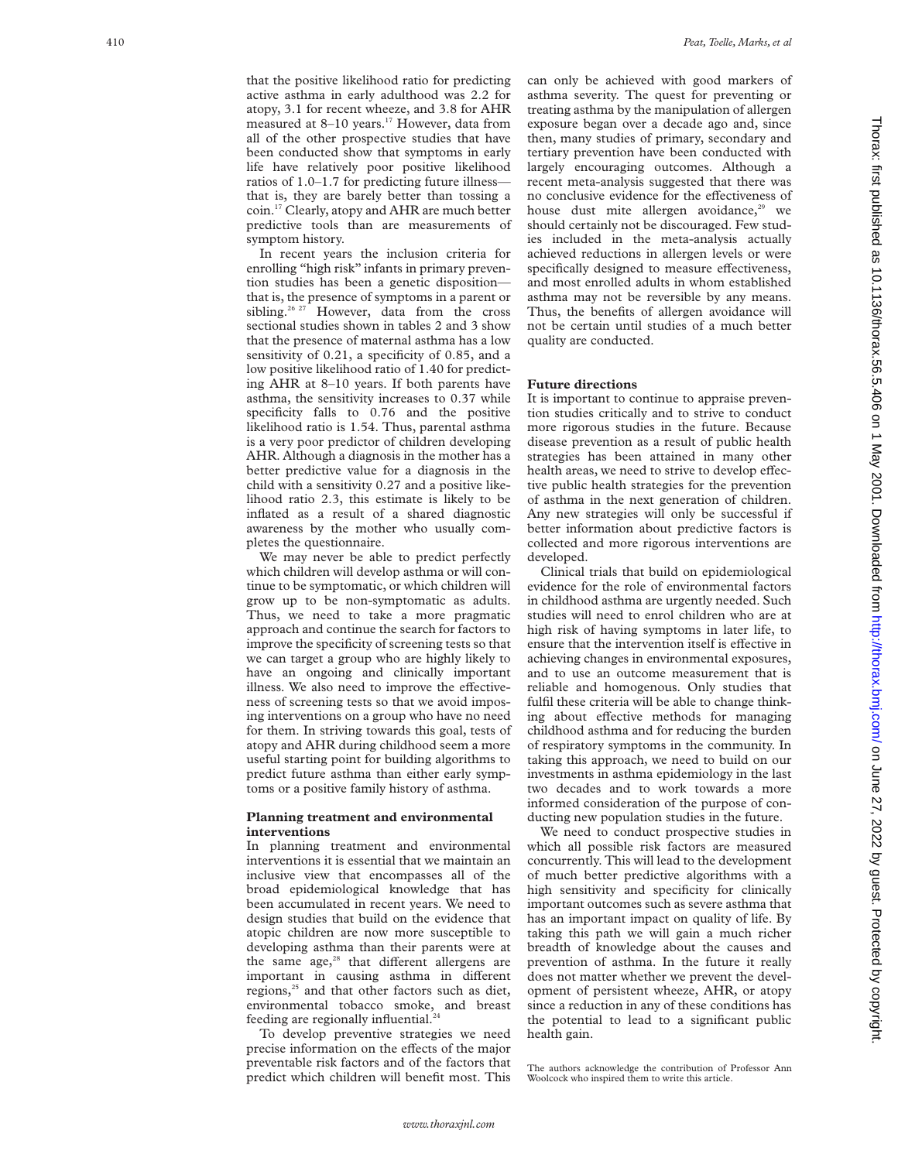that the positive likelihood ratio for predicting active asthma in early adulthood was 2.2 for atopy, 3.1 for recent wheeze, and 3.8 for AHR measured at 8-10 years.<sup>17</sup> However, data from all of the other prospective studies that have been conducted show that symptoms in early life have relatively poor positive likelihood ratios of  $1.0-1.7$  for predicting future illnessthat is, they are barely better than tossing a coin.17 Clearly, atopy and AHR are much better predictive tools than are measurements of symptom history.

In recent years the inclusion criteria for enrolling "high risk" infants in primary prevention studies has been a genetic disposition that is, the presence of symptoms in a parent or sibling.<sup>26 27</sup> However, data from the cross sectional studies shown in tables 2 and 3 show that the presence of maternal asthma has a low sensitivity of 0.21, a specificity of 0.85, and a low positive likelihood ratio of 1.40 for predicting AHR at 8–10 years. If both parents have asthma, the sensitivity increases to 0.37 while specificity falls to 0.76 and the positive likelihood ratio is 1.54. Thus, parental asthma is a very poor predictor of children developing AHR. Although a diagnosis in the mother has a better predictive value for a diagnosis in the child with a sensitivity 0.27 and a positive likelihood ratio 2.3, this estimate is likely to be inflated as a result of a shared diagnostic awareness by the mother who usually completes the questionnaire.

We may never be able to predict perfectly which children will develop asthma or will continue to be symptomatic, or which children will grow up to be non-symptomatic as adults. Thus, we need to take a more pragmatic approach and continue the search for factors to improve the specificity of screening tests so that we can target a group who are highly likely to have an ongoing and clinically important illness. We also need to improve the effectiveness of screening tests so that we avoid imposing interventions on a group who have no need for them. In striving towards this goal, tests of atopy and AHR during childhood seem a more useful starting point for building algorithms to predict future asthma than either early symptoms or a positive family history of asthma.

# **Planning treatment and environmental interventions**

In planning treatment and environmental interventions it is essential that we maintain an inclusive view that encompasses all of the broad epidemiological knowledge that has been accumulated in recent years. We need to design studies that build on the evidence that atopic children are now more susceptible to developing asthma than their parents were at the same age,<sup>28</sup> that different allergens are important in causing asthma in different regions,<sup>25</sup> and that other factors such as diet, environmental tobacco smoke, and breast feeding are regionally influential.<sup>24</sup>

To develop preventive strategies we need precise information on the effects of the major preventable risk factors and of the factors that predict which children will benefit most. This can only be achieved with good markers of asthma severity. The quest for preventing or treating asthma by the manipulation of allergen exposure began over a decade ago and, since then, many studies of primary, secondary and tertiary prevention have been conducted with largely encouraging outcomes. Although a recent meta-analysis suggested that there was no conclusive evidence for the effectiveness of house dust mite allergen avoidance,<sup>29</sup> we should certainly not be discouraged. Few studies included in the meta-analysis actually achieved reductions in allergen levels or were specifically designed to measure effectiveness, and most enrolled adults in whom established asthma may not be reversible by any means. Thus, the benefits of allergen avoidance will not be certain until studies of a much better quality are conducted.

# **Future directions**

It is important to continue to appraise prevention studies critically and to strive to conduct more rigorous studies in the future. Because disease prevention as a result of public health strategies has been attained in many other health areas, we need to strive to develop effective public health strategies for the prevention of asthma in the next generation of children. Any new strategies will only be successful if better information about predictive factors is collected and more rigorous interventions are developed.

Clinical trials that build on epidemiological evidence for the role of environmental factors in childhood asthma are urgently needed. Such studies will need to enrol children who are at high risk of having symptoms in later life, to ensure that the intervention itself is effective in achieving changes in environmental exposures, and to use an outcome measurement that is reliable and homogenous. Only studies that fulfil these criteria will be able to change thinking about effective methods for managing childhood asthma and for reducing the burden of respiratory symptoms in the community. In taking this approach, we need to build on our investments in asthma epidemiology in the last two decades and to work towards a more informed consideration of the purpose of conducting new population studies in the future.

We need to conduct prospective studies in which all possible risk factors are measured concurrently. This will lead to the development of much better predictive algorithms with a high sensitivity and specificity for clinically important outcomes such as severe asthma that has an important impact on quality of life. By taking this path we will gain a much richer breadth of knowledge about the causes and prevention of asthma. In the future it really does not matter whether we prevent the development of persistent wheeze, AHR, or atopy since a reduction in any of these conditions has the potential to lead to a significant public health gain.

The authors acknowledge the contribution of Professor Ann Woolcock who inspired them to write this article.